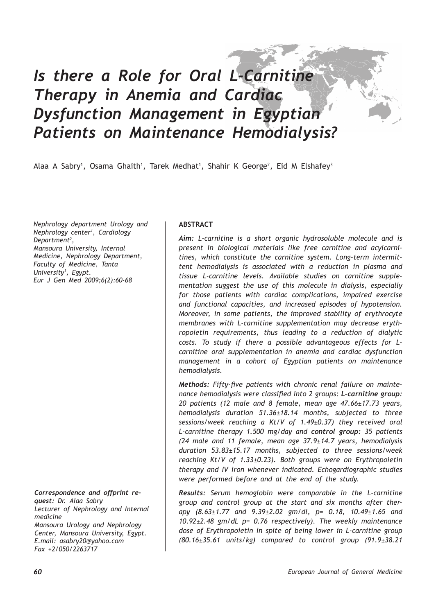# *Is there a Role for Oral L-Carnitine Therapy in Anemia and Cardiac Dysfunction Management in Egyptian Patients on Maintenance Hemodialysis?*

Alaa A Sabry', Osama Ghaith', Tarek Medhat', Shahir K George<sup>2</sup>, Eid M Elshafey<sup>3</sup>

*Nephrology department Urology and Nephrology center<sup>1</sup> , Cardiology Department<sup>2</sup> , Mansoura University, Internal Medicine, Nephrology Department, Faculty of Medicine, Tanta University<sup>3</sup> , Egypt. Eur J Gen Med 2009;6(2):60-68*

*Correspondence and offprint request: Dr. Alaa Sabry Lecturer of Nephrology and Internal medicine Mansoura Urology and Nephrology Center, Mansoura University, Egypt. E.mail: asabry20@yahoo.com Fax +2/050/2263717*

## **ABSTRACT**

*Aim: L-carnitine is a short organic hydrosoluble molecule and is present in biological materials like free carnitine and acylcarnitines, which constitute the carnitine system. Long-term intermittent hemodialysis is associated with a reduction in plasma and tissue L-carnitine levels. Available studies on carnitine supplementation suggest the use of this molecule in dialysis, especially for those patients with cardiac complications, impaired exercise and functional capacities, and increased episodes of hypotension. Moreover, in some patients, the improved stability of erythrocyte membranes with L-carnitine supplementation may decrease erythropoietin requirements, thus leading to a reduction of dialytic costs. To study if there a possible advantageous effects for L– carnitine oral supplementation in anemia and cardiac dysfunction management in a cohort of Egyptian patients on maintenance hemodialysis.*

*Methods: Fifty-five patients with chronic renal failure on maintenance hemodialysis were classified into 2 groups: L-carnitine group: 20 patients (12 male and 8 female, mean age 47.66±17.73 years, hemodialysis duration 51.36±18.14 months, subjected to three sessions/week reaching a Kt/V of 1.49±0.37) they received oral L-carnitine therapy 1.500 mg/day and control group: 35 patients (24 male and 11 female, mean age 37.9±14.7 years, hemodialysis duration 53.83±15.17 months, subjected to three sessions/week reaching Kt/V of 1.33±0.23). Both groups were on Erythropoietin therapy and IV iron whenever indicated. Echogardiographic studies were performed before and at the end of the study.*

*Results: Serum hemoglobin were comparable in the L-carnitine group and control group at the start and six months after therapy (8.63±1.77 and 9.39±2.02 gm/dl, p= 0.18, 10.49±1.65 and 10.92±2.48 gm/dL p= 0.76 respectively). The weekly maintenance dose of Erythropoietin in spite of being lower in L-carnitine group (80.16±35.61 units/kg) compared to control group (91.9±38.21*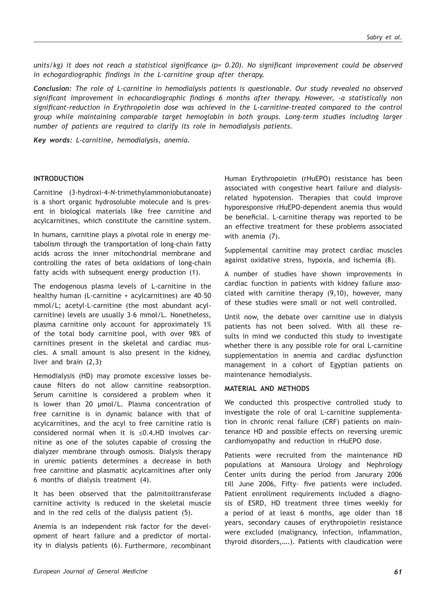*units/kg) it does not reach a statistical significance (p= 0.20). No significant improvement could be observed in echogardiographic findings in the L-carnitine group after therapy.*

*Conclusion: The role of L-carnitine in hemodialysis patients is questionable. Our study revealed no observed significant improvement in echocardiographic findings 6 months after therapy. However, -a statistically non significant-reduction in Erythropoietin dose was achieved in the L-carnitine-treated compared to the control group while maintaining comparable target hemoglobin in both groups. Long-term studies including larger number of patients are required to clarify its role in hemodialysis patients.*

*Key words: L-carnitine, hemodialysis, anemia.*

#### **INTRODUCTION**

Carnitine (3-hydroxi-4-*N*-trimethylammoniobutanoate) is a short organic hydrosoluble molecule and is present in biological materials like free carnitine and acylcarnitines, which constitute the carnitine system.

In humans, carnitine plays a pivotal role in energy metabolism through the transportation of long-chain fatty acids across the inner mitochondrial membrane and controlling the rates of beta oxidations of long-chain fatty acids with subsequent energy production (1).

The endogenous plasma levels of L-carnitine in the healthy human (L-carnitine + acylcarnitines) are 40–50 mmol/L; acetyl-L-carnitine (the most abundant acylcarnitine) levels are usually 3–6 mmol/L. Nonetheless, plasma carnitine only account for approximately 1% of the total body carnitine pool, with over 98% of carnitines present in the skeletal and cardiac muscles. A small amount is also present in the kidney, liver and brain (2,3).

Hemodialysis (HD) may promote excessive losses because filters do not allow carnitine reabsorption. Serum carnitine is considered a problem when it is lower than 20 µmol/L. Plasma concentration of free carnitine is in dynamic balance with that of acylcarnitines, and the acyl to free carnitine ratio is considered normal when it is ≤0.4.HD involves carnitine as one of the solutes capable of crossing the dialyzer membrane through osmosis. Dialysis therapy in uremic patients determines a decrease in both free carnitine and plasmatic acylcarnitines after only 6 months of dialysis treatment (4).

It has been observed that the palmitoiltransferase carnitine activity is reduced in the skeletal muscle and in the red cells of the dialysis patient (5).

Anemia is an independent risk factor for the development of heart failure and a predictor of mortality in dialysis patients (6). Furthermore, recombinant Human Erythropoietin (rHuEPO) resistance has been associated with congestive heart failure and dialysisrelated hypotension. Therapies that could improve hyporesponsive rHuEPO-dependent anemia thus would be beneficial. L-carnitine therapy was reported to be an effective treatment for these problems associated with anemia (7).

Supplemental carnitine may protect cardiac muscles against oxidative stress, hypoxia, and ischemia (8).

A number of studies have shown improvements in cardiac function in patients with kidney failure associated with carnitine therapy (9,10), however, many of these studies were small or not well controlled.

Until now, the debate over carnitine use in dialysis patients has not been solved. With all these results in mind we conducted this study to investigate whether there is any possible role for oral L-carnitine supplementation in anemia and cardiac dysfunction management in a cohort of Egyptian patients on maintenance hemodialysis.

#### **MATERIAL AND METHODS**

We conducted this prospective controlled study to investigate the role of oral L-carnitine supplementation in chronic renal failure (CRF) patients on maintenance HD and possible effects on reversing uremic cardiomyopathy and reduction in rHuEPO dose.

Patients were recruited from the maintenance HD populations at Mansoura Urology and Nephrology Center units during the period from Janurary 2006 till June 2006, Fifty- five patients were included. Patient enrollment requirements included a diagnosis of ESRD, HD treatment three times weekly for a period of at least 6 months, age older than 18 years, secondary causes of erythropoietin resistance were excluded (malignancy, infection, inflammation, thyroid disorders,….). Patients with claudication were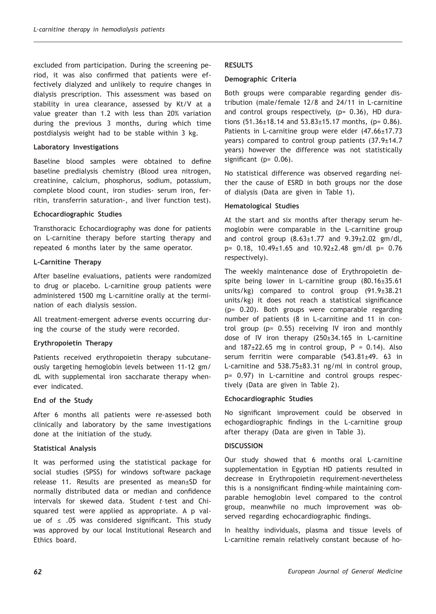excluded from participation. During the screening period, it was also confirmed that patients were effectively dialyzed and unlikely to require changes in dialysis prescription. This assessment was based on stability in urea clearance, assessed by Kt/V at a value greater than 1.2 with less than 20% variation during the previous 3 months, during which time postdialysis weight had to be stable within 3 kg.

## **Laboratory Investigations**

Baseline blood samples were obtained to define baseline predialysis chemistry (Blood urea nitrogen, creatinine, calcium, phosphorus, sodium, potassium, complete blood count, iron studies- serum iron, ferritin, transferrin saturation-, and liver function test).

## **Echocardiographic Studies**

Transthoracic Echocardiography was done for patients on L-carnitine therapy before starting therapy and repeated 6 months later by the same operator.

## **L-Carnitine Therapy**

After baseline evaluations, patients were randomized to drug or placebo. L-carnitine group patients were administered 1500 mg L-carnitine orally at the termination of each dialysis session.

All treatment-emergent adverse events occurring during the course of the study were recorded.

## **Erythropoietin Therapy**

Patients received erythropoietin therapy subcutaneously targeting hemoglobin levels between 11-12 gm/ dL with supplemental iron saccharate therapy whenever indicated.

#### **End of the Study**

After 6 months all patients were re-assessed both clinically and laboratory by the same investigations done at the initiation of the study.

## **Statistical Analysis**

It was performed using the statistical package for social studies (SPSS) for windows software package release 11. Results are presented as mean±SD for normally distributed data or median and confidence intervals for skewed data. Student *t*–test and Chisquared test were applied as appropriate. A p value of ≤ .05 was considered significant. This study was approved by our local Institutional Research and Ethics board.

## **RESULTS**

## **Demographic Criteria**

Both groups were comparable regarding gender distribution (male/female 12/8 and 24/11 in L-carnitine and control groups respectively, (p= 0.36), HD durations  $(51.36 \pm 18.14$  and  $53.83 \pm 15.17$  months,  $(p= 0.86)$ . Patients in L-carnitine group were elder (47.66±17.73 years) compared to control group patients (37.9±14.7 years) however the difference was not statistically significant (p= 0.06).

No statistical difference was observed regarding neither the cause of ESRD in both groups nor the dose of dialysis (Data are given in Table 1).

## **Hematological Studies**

At the start and six months after therapy serum hemoglobin were comparable in the L-carnitine group and control group  $(8.63 \pm 1.77)$  and  $(9.39 \pm 2.02)$  gm/dl, p= 0.18, 10.49±1.65 and 10.92±2.48 gm/dl p= 0.76 respectively).

The weekly maintenance dose of Erythropoietin despite being lower in L-carnitine group (80.16±35.61 units/kg) compared to control group (91.9±38.21 units/kg) it does not reach a statistical significance (p= 0.20). Both groups were comparable regarding number of patients (8 in L-carnitine and 11 in control group (p= 0.55) receiving IV iron and monthly dose of IV iron therapy (250±34.165 in L-carnitine and  $187\pm22.65$  mg in control group,  $P = 0.14$ ). Also serum ferritin were comparable (543.81±49. 63 in L-carnitine and 538.75±83.31 ng/ml in control group, p= 0.97) in L-carnitine and control groups respectively (Data are given in Table 2).

#### **Echocardiographic Studies**

No significant improvement could be observed in echogardiographic findings in the L-carnitine group after therapy (Data are given in Table 3).

## **DISCUSSION**

Our study showed that 6 months oral L-carnitine supplementation in Egyptian HD patients resulted in decrease in Erythropoietin requirement-nevertheless this is a nonsignificant finding-while maintaining comparable hemoglobin level compared to the control group, meanwhile no much improvement was observed regarding echocardiographic findings.

In healthy individuals, plasma and tissue levels of L-carnitine remain relatively constant because of ho-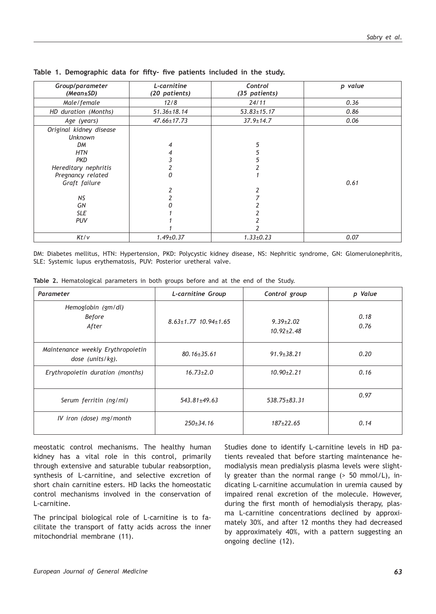| Group/parameter<br>$(Mean \pm SD)$        | L-carnitine<br>(20 patients) | Control<br>(35 patients) | p value |
|-------------------------------------------|------------------------------|--------------------------|---------|
| Male/female                               | 12/8                         | 24/11                    | 0.36    |
| HD duration (Months)                      | $51.36 \pm 18.14$            | $53.83 \pm 15.17$        | 0.86    |
| Age (years)                               | $47.66 \pm 17.73$            | $37.9 \pm 14.7$          | 0.06    |
| Original kidney disease<br><b>Unknown</b> |                              |                          |         |
| DM                                        |                              |                          |         |
| <b>HTN</b>                                |                              |                          |         |
| <b>PKD</b>                                |                              |                          |         |
| Hereditary nephritis                      | 2                            |                          |         |
| Pregnancy related                         | 0                            |                          |         |
| Graft failure                             |                              |                          | 0.61    |
|                                           | 2                            |                          |         |
| NS                                        | 2                            |                          |         |
| GN                                        |                              |                          |         |
| <b>SLE</b>                                |                              |                          |         |
| <b>PUV</b>                                |                              |                          |         |
|                                           |                              |                          |         |
| Kt/v                                      | $1.49 \pm 0.37$              | $1.33 \pm 0.23$          | 0.07    |

**Table 1. Demographic data for fifty- five patients included in the study.**

DM: Diabetes mellitus, HTN: Hypertension, PKD: Polycystic kidney disease, NS: Nephritic syndrome, GN: Glomerulonephritis, SLE: Systemic lupus erythematosis, PUV: Posterior uretheral valve.

**Table 2.** Hematological parameters in both groups before and at the end of the Study.

| Parameter                                             | L-carnitine Group                | Control group                       | p Value      |
|-------------------------------------------------------|----------------------------------|-------------------------------------|--------------|
| Hemoglobin (gm/dl)<br><b>Before</b><br>After          | $8.63 \pm 1.77$ $10.94 \pm 1.65$ | $9.39 \pm 2.02$<br>$10.92 \pm 2.48$ | 0.18<br>0.76 |
| Maintenance weekly Erythropoietin<br>dose (units/kg). | $80.16 + 35.61$                  | $91.9 \pm 38.21$                    | 0.20         |
| Erythropoietin duration (months)                      | $16.73 \pm 2.0$                  | $10.90 \pm 2.21$                    | 0.16         |
| Serum ferritin (ng/ml)                                | 543.81±49.63                     | $538.75 \pm 83.31$                  | 0.97         |
| IV iron (dose) mg/month                               | $250 \pm 34.16$                  | $187+22.65$                         | 0.14         |

meostatic control mechanisms. The healthy human kidney has a vital role in this control, primarily through extensive and saturable tubular reabsorption, synthesis of L-carnitine, and selective excretion of short chain carnitine esters. HD lacks the homeostatic control mechanisms involved in the conservation of L-carnitine.

The principal biological role of L-carnitine is to facilitate the transport of fatty acids across the inner mitochondrial membrane (11).

Studies done to identify L-carnitine levels in HD patients revealed that before starting maintenance hemodialysis mean predialysis plasma levels were slightly greater than the normal range (> 50 mmol/L), indicating L-carnitine accumulation in uremia caused by impaired renal excretion of the molecule. However, during the first month of hemodialysis therapy, plasma L-carnitine concentrations declined by approximately 30%, and after 12 months they had decreased by approximately 40%, with a pattern suggesting an ongoing decline (12).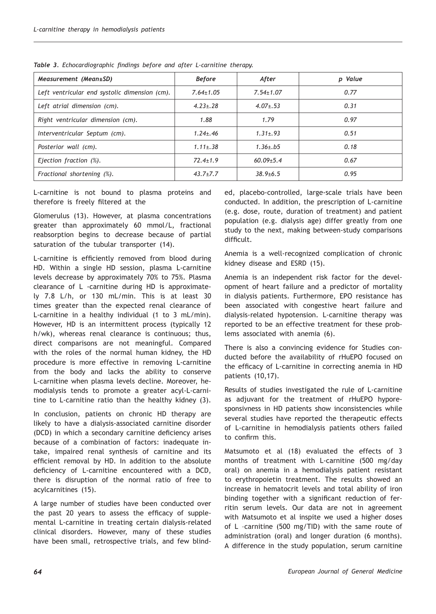| Measurement (Mean±SD)                         | <b>Before</b>   | After           | p Value |
|-----------------------------------------------|-----------------|-----------------|---------|
| Left ventricular end systolic dimension (cm). | $7.64 \pm 1.05$ | $7.54 \pm 1.07$ | 0.77    |
| Left atrial dimension (cm).                   | $4.23 \pm .28$  | $4.07 \pm .53$  | 0.31    |
| Right ventricular dimension (cm).             | 1.88            | 1.79            | 0.97    |
| Interventricular Septum (cm).                 | $1.24 \pm .46$  | $1.31 \pm .93$  | 0.51    |
| Posterior wall (cm).                          | $1.11 \pm .38$  | $1.36 + b5$     | 0.18    |
| Ejection fraction $(\%)$ .                    | $72.4 \pm 1.9$  | $60.09 + 5.4$   | 0.67    |
| Fractional shortening (%).                    | $43.7 \pm 7.7$  | $38.9 + 6.5$    | 0.95    |

*Table 3. Echocardiographic findings before and after L-carnitine therapy.*

L-carnitine is not bound to plasma proteins and therefore is freely filtered at the

Glomerulus (13). However, at plasma concentrations greater than approximately 60 mmol/L, fractional reabsorption begins to decrease because of partial saturation of the tubular transporter (14).

L-carnitine is efficiently removed from blood during HD. Within a single HD session, plasma L-carnitine levels decrease by approximately 70% to 75%. Plasma clearance of L -carnitine during HD is approximately 7.8 L/h, or 130 mL/min. This is at least 30 times greater than the expected renal clearance of L-carnitine in a healthy individual (1 to 3 mL/min). However, HD is an intermittent process (typically 12 h/wk), whereas renal clearance is continuous; thus, direct comparisons are not meaningful. Compared with the roles of the normal human kidney, the HD procedure is more effective in removing L-carnitine from the body and lacks the ability to conserve L-carnitine when plasma levels decline. Moreover, hemodialysis tends to promote a greater acyl-L-carnitine to L-carnitine ratio than the healthy kidney (3).

In conclusion, patients on chronic HD therapy are likely to have a dialysis-associated carnitine disorder (DCD) in which a secondary carnitine deficiency arises because of a combination of factors: inadequate intake, impaired renal synthesis of carnitine and its efficient removal by HD. In addition to the absolute deficiency of L-carnitine encountered with a DCD, there is disruption of the normal ratio of free to acylcarnitines (15).

A large number of studies have been conducted over the past 20 years to assess the efficacy of supplemental L-carnitine in treating certain dialysis-related clinical disorders. However, many of these studies have been small, retrospective trials, and few blinded, placebo-controlled, large-scale trials have been conducted. In addition, the prescription of L-carnitine (e.g. dose, route, duration of treatment) and patient population (e.g. dialysis age) differ greatly from one study to the next, making between-study comparisons difficult.

Anemia is a well-recognized complication of chronic kidney disease and ESRD (15).

Anemia is an independent risk factor for the development of heart failure and a predictor of mortality in dialysis patients. Furthermore, EPO resistance has been associated with congestive heart failure and dialysis-related hypotension. L-carnitine therapy was reported to be an effective treatment for these problems associated with anemia (6).

There is also a convincing evidence for Studies conducted before the availability of rHuEPO focused on the efficacy of L-carnitine in correcting anemia in HD patients (10,17).

Results of studies investigated the rule of L-carnitine as adjuvant for the treatment of rHuEPO hyporesponsivness in HD patients show inconsistencies while several studies have reported the therapeutic effects of L-carnitine in hemodialysis patients others failed to confirm this.

Matsumoto et al (18) evaluated the effects of 3 months of treatment with L-carnitine (500 mg/day oral) on anemia in a hemodialysis patient resistant to erythropoietin treatment. The results showed an increase in hematocrit levels and total ability of iron binding together with a significant reduction of ferritin serum levels. Our data are not in agreement with Matsumoto et al inspite we used a higher doses of L –carnitine (500 mg/TID) with the same route of administration (oral) and longer duration (6 months). A difference in the study population, serum carnitine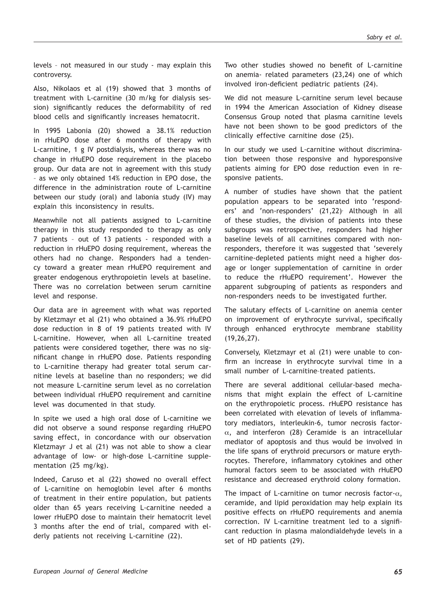levels – not measured in our study - may explain this controversy.

Also, Nikolaos et al (19) showed that 3 months of treatment with L-carnitine (30 m/kg for dialysis session) significantly reduces the deformability of red blood cells and significantly increases hematocrit.

In 1995 Labonia (20) showed a 38.1% reduction in rHuEPO dose after 6 months of therapy with L-carnitine, 1 g IV postdialysis, whereas there was no change in rHuEPO dose requirement in the placebo group. Our data are not in agreement with this study – as we only obtained 14% reduction in EPO dose, the difference in the administration route of L-carnitine between our study (oral) and labonia study (IV) may explain this inconsistency in results.

Meanwhile not all patients assigned to L-carnitine therapy in this study responded to therapy as only 7 patients – out of 13 patients - responded with a reduction in rHuEPO dosing requirement, whereas the others had no change. Responders had a tendency toward a greater mean rHuEPO requirement and greater endogenous erythropoietin levels at baseline. There was no correlation between serum carnitine level and response.

Our data are in agreement with what was reported by Kletzmayr et al (21) who obtained a 36.9% rHuEPO dose reduction in 8 of 19 patients treated with IV L-carnitine. However, when all L-carnitine treated patients were considered together, there was no significant change in rHuEPO dose. Patients responding to L-carnitine therapy had greater total serum carnitine levels at baseline than no responders; we did not measure L-carnitine serum level as no correlation between individual rHuEPO requirement and carnitine level was documented in that study.

In spite we used a high oral dose of L-carnitine we did not observe a sound response regarding rHuEPO saving effect, in concordance with our observation Kletzmayr J et al (21) was not able to show a clear advantage of low- or high-dose L-carnitine supplementation (25 mg/kg).

Indeed, Caruso et al (22) showed no overall effect of L-carnitine on hemoglobin level after 6 months of treatment in their entire population, but patients older than 65 years receiving L-carnitine needed a lower rHuEPO dose to maintain their hematocrit level 3 months after the end of trial, compared with elderly patients not receiving L-carnitine (22).

Two other studies showed no benefit of L-carnitine on anemia- related parameters (23,24) one of which involved iron-deficient pediatric patients (24).

We did not measure L-carnitine serum level because in 1994 the American Association of Kidney disease Consensus Group noted that plasma carnitine levels have not been shown to be good predictors of the clinically effective carnitine dose (25).

In our study we used L-carnitine without discrimination between those responsive and hyporesponsive patients aiming for EPO dose reduction even in responsive patients.

A number of studies have shown that the patient population appears to be separated into 'responders' and 'non-responders' (21,22)<sup>,</sup> Although in all of these studies, the division of patients into these subgroups was retrospective, responders had higher baseline levels of all carnitines compared with nonresponders, therefore it was suggested that 'severely carnitine-depleted patients might need a higher dosage or longer supplementation of carnitine in order to reduce the rHuEPO requirement'. However the apparent subgrouping of patients as responders and non-responders needs to be investigated further.

The salutary effects of L-carnitine on anemia center on improvement of erythrocyte survival, specifically through enhanced erythrocyte membrane stability (19,26,27).

Conversely, Kletzmayr et al (21) were unable to confirm an increase in erythrocyte survival time in a small number of L-carnitine–treated patients.

There are several additional cellular-based mechanisms that might explain the effect of L-carnitine on the erythropoietic process. rHuEPO resistance has been correlated with elevation of levels of inflammatory mediators, interleukin-6, tumor necrosis factor- $\alpha$ , and interferon (28) Ceramide is an intracellular mediator of apoptosis and thus would be involved in the life spans of erythroid precursors or mature erythrocytes. Therefore, inflammatory cytokines and other humoral factors seem to be associated with rHuEPO resistance and decreased erythroid colony formation.

The impact of L-carnitine on tumor necrosis factor- $\alpha$ , ceramide, and lipid peroxidation may help explain its positive effects on rHuEPO requirements and anemia correction. IV L-carnitine treatment led to a significant reduction in plasma malondialdehyde levels in a set of HD patients (29).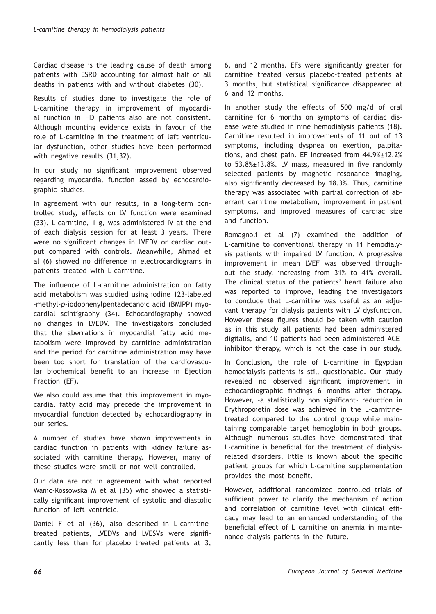Cardiac disease is the leading cause of death among patients with ESRD accounting for almost half of all deaths in patients with and without diabetes (30).

Results of studies done to investigate the role of L-carnitine therapy in improvement of myocardial function in HD patients also are not consistent. Although mounting evidence exists in favour of the role of L-carnitine in the treatment of left ventricular dysfunction, other studies have been performed with negative results (31,32).

In our study no significant improvement observed regarding myocardial function assed by echocardiographic studies.

In agreement with our results, in a long-term controlled study, effects on LV function were examined (33). L-carnitine, 1 g, was administered IV at the end of each dialysis session for at least 3 years. There were no significant changes in LVEDV or cardiac output compared with controls. Meanwhile, Ahmad et al (6) showed no difference in electrocardiograms in patients treated with L-carnitine.

The influence of L-carnitine administration on fatty acid metabolism was studied using iodine 123–labeled -methyl-*p*-iodophenylpentadecanoic acid (BMIPP) myocardial scintigraphy (34). Echocardiography showed no changes in LVEDV. The investigators concluded that the aberrations in myocardial fatty acid metabolism were improved by carnitine administration and the period for carnitine administration may have been too short for translation of the cardiovascular biochemical benefit to an increase in Ejection Fraction (EF).

We also could assume that this improvement in myocardial fatty acid may precede the improvement in myocardial function detected by echocardiography in our series.

A number of studies have shown improvements in cardiac function in patients with kidney failure associated with carnitine therapy. However, many of these studies were small or not well controlled.

Our data are not in agreement with what reported Wanic-Kossowska M et al (35) who showed a statistically significant improvement of systolic and diastolic function of left ventricle.

Daniel F et al (36), also described in L-carnitinetreated patients, LVEDVs and LVESVs were significantly less than for placebo treated patients at 3, 6, and 12 months. EFs were significantly greater for carnitine treated versus placebo-treated patients at 3 months, but statistical significance disappeared at 6 and 12 months.

In another study the effects of 500 mg/d of oral carnitine for 6 months on symptoms of cardiac disease were studied in nine hemodialysis patients (18). Carnitine resulted in improvements of 11 out of 13 symptoms, including dyspnea on exertion, palpitations, and chest pain. EF increased from 44.9%±12.2% to 53.8%±13.8%. LV mass, measured in five randomly selected patients by magnetic resonance imaging, also significantly decreased by 18.3%. Thus, carnitine therapy was associated with partial correction of aberrant carnitine metabolism, improvement in patient symptoms, and improved measures of cardiac size and function.

Romagnoli et al (7) examined the addition of L-carnitine to conventional therapy in 11 hemodialysis patients with impaired LV function. A progressive improvement in mean LVEF was observed throughout the study, increasing from 31% to 41% overall. The clinical status of the patients' heart failure also was reported to improve, leading the investigators to conclude that L-carnitine was useful as an adjuvant therapy for dialysis patients with LV dysfunction. However these figures should be taken with caution as in this study all patients had been administered digitalis, and 10 patients had been administered ACEinhibitor therapy, which is not the case in our study.

In Conclusion**,** the role of L-carnitine in Egyptian hemodialysis patients is still questionable. Our study revealed no observed significant improvement in echocardiographic findings 6 months after therapy. However, -a statistically non significant- reduction in Erythropoietin dose was achieved in the L-carnitinetreated compared to the control group while maintaining comparable target hemoglobin in both groups. Although numerous studies have demonstrated that L-carnitine is beneficial for the treatment of dialysisrelated disorders, little is known about the specific patient groups for which L-carnitine supplementation provides the most benefit.

However, additional randomized controlled trials of sufficient power to clarify the mechanism of action and correlation of carnitine level with clinical efficacy may lead to an enhanced understanding of the beneficial effect of L carnitine on anemia in maintenance dialysis patients in the future.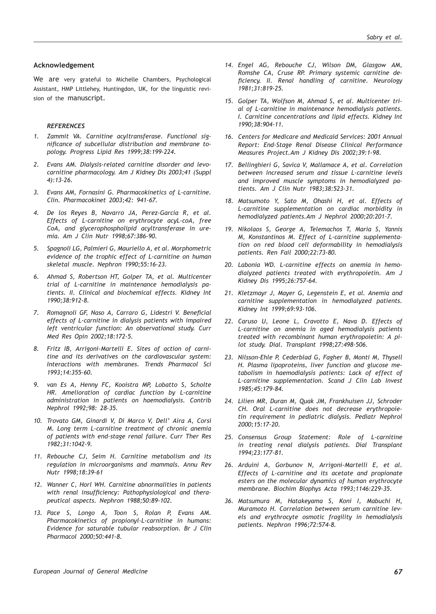## **Acknowledgement**

We are very grateful to Michelle Chambers, Psychological Assistant, HMP Littlehey, Huntingdon, UK, for the linguistic revision of the manuscript.

#### *REFERENCES*

- *1. Zammit VA. Carnitine acyltransferase. Functional significance of subcellular distribution and membrane topology. Progress Lipid Res 1999;38:199-224.*
- *2. Evans AM. Dialysis-related carnitine disorder and levocarnitine pharmacology. Am J Kidney Dis 2003;41 (Suppl 4):13–26.*
- *3. Evans AM, Fornasini G. Pharmacokinetics of L-carnitine. Clin. Pharmacokinet 2003;42: 941–67.*
- *4. De los Reyes B, Navarro JA, Perez-Garcia R, et al. Effects of L-carnitine on erythrocyte acyL-coA, free CoA, and glycerophospholipid acyltransferase in uremia. Am J Clin Nutr 1998;67:386-90.*
- *5. Spagnoli LG, Palmieri G, Mauriello A, et al. Morphometric evidence of the trophic effect of L-carnitine on human skeletal muscle. Nephron 1990;55:16-23.*
- *6. Ahmad S, Robertson HT, Golper TA, et al. Multicenter trial of L-carnitine in maintenance hemodialysis patients. II. Clinical and biochemical effects. Kidney Int 1990;38:912-8.*
- *7. Romagnoli GF, Naso A, Carraro G, Lidestri V. Beneficial effects of L-carnitine in dialysis patients with impaired left ventricular function: An observational study. Curr Med Res Opin 2002;18:172-5.*
- *8. Fritz IB, Arrigoni-Martelli E. Sites of action of carnitine and its derivatives on the cardiovascular system: Interactions with membranes. Trends Pharmacol Sci 1993;14:355-60.*
- *9. van Es A, Henny FC, Kooistra MP, Lobatto S, Scholte HR. Amelioration of cardiac function by L-carnitine administration in patients on haemodialysis. Contrib Nephrol 1992;98: 28-35.*
- *10. Trovato GM, Ginardi V, Di Marco V, Dell' Aira A, Corsi M. Long term L-carnitine treatment of chronic anemia of patients with end-stage renal failure. Curr Ther Res 1982;31:1042-9.*
- *11. Rebouche CJ, Seim H. Carnitine metabolism and its regulation in microorganisms and mammals. Annu Rev Nutr 1998;18:39-61*
- *12. Wanner C, Horl WH. Carnitine abnormalities in patients with renal insufficiency: Pathophysiological and therapeutical aspects. Nephron 1988;50:89-102.*
- *13. Pace S, Longo A, Toon S, Rolan P, Evans AM. Pharmacokinetics of propionyl-L-carnitine in humans: Evidence for saturable tubular reabsorption. Br J Clin Pharmacol 2000;50:441-8.*
- *14. Engel AG, Rebouche CJ, Wilson DM, Glasgow AM, Romshe CA, Cruse RP. Primary systemic carnitine deficiency. II. Renal handling of carnitine. Neurology 1981;31:819-25.*
- *15. Golper TA, Wolfson M, Ahmad S, et al. Multicenter trial of L-carnitine in maintenance hemodialysis patients. I. Carnitine concentrations and lipid effects. Kidney Int 1990;38:904-11.*
- *16. Centers for Medicare and Medicaid Services: 2001 Annual Report: End-Stage Renal Disease Clinical Performance Measures Project.Am J Kidney Dis 2002;39:1-98.*
- *17. Bellinghieri G, Savica V, Mallamace A, et al. Correlation between increased serum and tissue L-carnitine levels and improved muscle symptoms in hemodialyzed patients. Am J Clin Nutr 1983;38:523-31.*
- *18. Matsumoto Y, Sato M, Ohashi H, et al. Effects of L-carnitine supplementation on cardiac morbidity in hemodialyzed patients.Am J Nephrol 2000;20:201-7.*
- *19. Nikolaos S, George A, Telemachos T, Maria S, Yannis M, Konstantinos M. Effect of L-carnitine supplementation on red blood cell deformability in hemodialysis patients. Ren Fail 2000;22:73-80.*
- *20. Labonia WD. L-carnitine effects on anemia in hemodialyzed patients treated with erythropoietin. Am J Kidney Dis 1995;26:757-64.*
- *21. Kletzmayr J, Mayer G, Legenstein E, et al. Anemia and carnitine supplementation in hemodialyzed patients. Kidney Int 1999;69:93-106.*
- *22. Caruso U, Leone L, Cravotto E, Nava D. Effects of L-carnitine on anemia in aged hemodialysis patients treated with recombinant human erythropoietin: A pilot study. Dial. Transplant 1998;27:498–506.*
- *23. Nilsson-Ehle P, Cederblad G, Fagher B, Monti M, Thysell H. Plasma lipoproteins, liver function and glucose metabolism in haemodialysis patients: Lack of effect of L-carnitine supplementation. Scand J Clin Lab Invest 1985;45:179-84.*
- *24. Lilien MR, Duran M, Quak JM, Frankhuisen JJ, Schroder CH. Oral L-carnitine does not decrease erythropoietin requirement in pediatric dialysis. Pediatr Nephrol 2000;15:17-20.*
- *25. Consensus Group Statement: Role of L-carnitine in treating renal dialysis patients. Dial Transplant 1994;23:177-81.*
- *26. Arduini A, Gorbunov N, Arrigoni-Martelli E, et al. Effects of L-carnitine and its acetate and propionate esters on the molecular dynamics of human erythrocyte membrane. Biochim Biophys Acta 1993;1146:229-35.*
- *36. Matsumura M, Hatakeyama S, Koni I, Mabuchi H, Muramoto H. Correlation between serum carnitine levels and erythrocyte osmotic fragility in hemodialysis patients. Nephron 1996;72:574-8.*